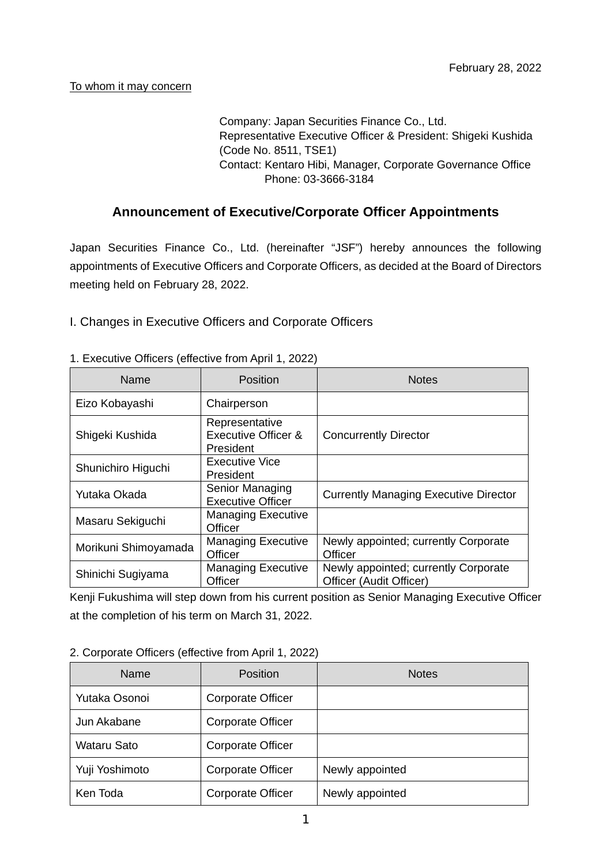Company: Japan Securities Finance Co., Ltd. Representative Executive Officer & President: Shigeki Kushida (Code No. 8511, TSE1) Contact: Kentaro Hibi, Manager, Corporate Governance Office Phone: 03-3666-3184

# **Announcement of Executive/Corporate Officer Appointments**

Japan Securities Finance Co., Ltd. (hereinafter "JSF") hereby announces the following appointments of Executive Officers and Corporate Officers, as decided at the Board of Directors meeting held on February 28, 2022.

I. Changes in Executive Officers and Corporate Officers

| Name                 | <b>Position</b>                                               | <b>Notes</b>                                                    |
|----------------------|---------------------------------------------------------------|-----------------------------------------------------------------|
| Eizo Kobayashi       | Chairperson                                                   |                                                                 |
| Shigeki Kushida      | Representative<br><b>Executive Officer &amp;</b><br>President | <b>Concurrently Director</b>                                    |
| Shunichiro Higuchi   | <b>Executive Vice</b><br><b>President</b>                     |                                                                 |
| Yutaka Okada         | Senior Managing<br><b>Executive Officer</b>                   | <b>Currently Managing Executive Director</b>                    |
| Masaru Sekiguchi     | <b>Managing Executive</b><br>Officer                          |                                                                 |
| Morikuni Shimoyamada | <b>Managing Executive</b><br>Officer                          | Newly appointed; currently Corporate<br>Officer                 |
| Shinichi Sugiyama    | <b>Managing Executive</b><br>Officer                          | Newly appointed; currently Corporate<br>Officer (Audit Officer) |

1. Executive Officers (effective from April 1, 2022)

Kenji Fukushima will step down from his current position as Senior Managing Executive Officer at the completion of his term on March 31, 2022.

| Name               | <b>Position</b>          | <b>Notes</b>    |
|--------------------|--------------------------|-----------------|
| Yutaka Osonoi      | <b>Corporate Officer</b> |                 |
| Jun Akabane        | <b>Corporate Officer</b> |                 |
| <b>Wataru Sato</b> | <b>Corporate Officer</b> |                 |
| Yuji Yoshimoto     | <b>Corporate Officer</b> | Newly appointed |
| Ken Toda           | <b>Corporate Officer</b> | Newly appointed |

2. Corporate Officers (effective from April 1, 2022)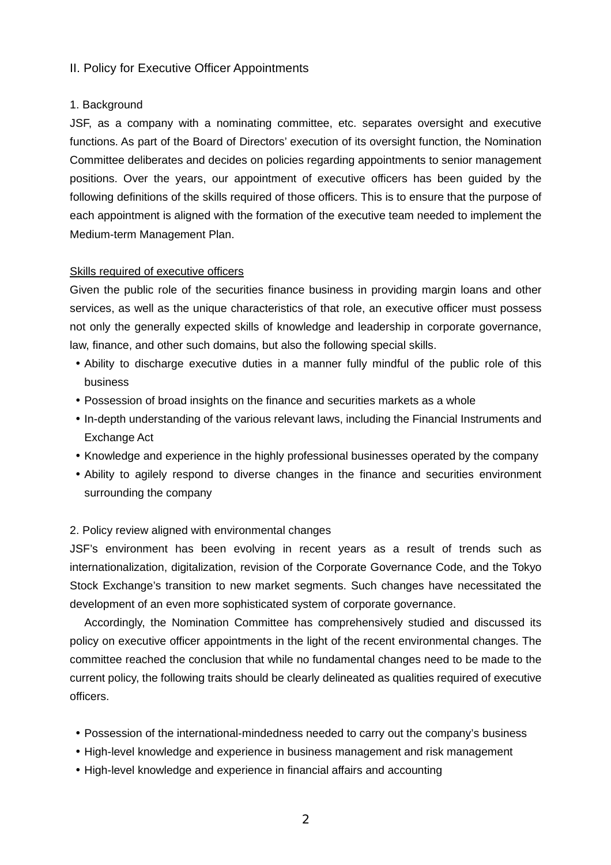### II. Policy for Executive Officer Appointments

#### 1. Background

JSF, as a company with a nominating committee, etc. separates oversight and executive functions. As part of the Board of Directors' execution of its oversight function, the Nomination Committee deliberates and decides on policies regarding appointments to senior management positions. Over the years, our appointment of executive officers has been guided by the following definitions of the skills required of those officers. This is to ensure that the purpose of each appointment is aligned with the formation of the executive team needed to implement the Medium-term Management Plan.

#### Skills required of executive officers

Given the public role of the securities finance business in providing margin loans and other services, as well as the unique characteristics of that role, an executive officer must possess not only the generally expected skills of knowledge and leadership in corporate governance, law, finance, and other such domains, but also the following special skills.

- Ability to discharge executive duties in a manner fully mindful of the public role of this business
- Possession of broad insights on the finance and securities markets as a whole
- In-depth understanding of the various relevant laws, including the Financial Instruments and Exchange Act
- Knowledge and experience in the highly professional businesses operated by the company
- Ability to agilely respond to diverse changes in the finance and securities environment surrounding the company

### 2. Policy review aligned with environmental changes

JSF's environment has been evolving in recent years as a result of trends such as internationalization, digitalization, revision of the Corporate Governance Code, and the Tokyo Stock Exchange's transition to new market segments. Such changes have necessitated the development of an even more sophisticated system of corporate governance.

Accordingly, the Nomination Committee has comprehensively studied and discussed its policy on executive officer appointments in the light of the recent environmental changes. The committee reached the conclusion that while no fundamental changes need to be made to the current policy, the following traits should be clearly delineated as qualities required of executive officers.

- Possession of the international-mindedness needed to carry out the company's business
- High-level knowledge and experience in business management and risk management
- High-level knowledge and experience in financial affairs and accounting